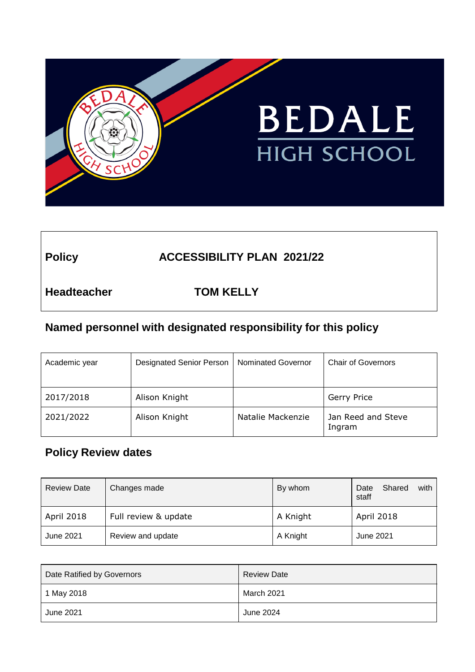

# Policy **ACCESSIBILITY PLAN 2021/22**

**Headteacher TOM KELLY**

## **Named personnel with designated responsibility for this policy**

| Academic year | <b>Designated Senior Person</b> | <b>Nominated Governor</b> | <b>Chair of Governors</b>    |
|---------------|---------------------------------|---------------------------|------------------------------|
| 2017/2018     | Alison Knight                   |                           | Gerry Price                  |
| 2021/2022     | Alison Knight                   | Natalie Mackenzie         | Jan Reed and Steve<br>Ingram |

# **Policy Review dates**

| <b>Review Date</b> | Changes made         | By whom  | Shared<br>with I<br>Date<br>staff |
|--------------------|----------------------|----------|-----------------------------------|
| April 2018         | Full review & update | A Knight | <b>April 2018</b>                 |
| June 2021          | Review and update    | A Knight | June 2021                         |

| Date Ratified by Governors | <b>Review Date</b> |
|----------------------------|--------------------|
| 1 May 2018                 | March 2021         |
| June 2021                  | June 2024          |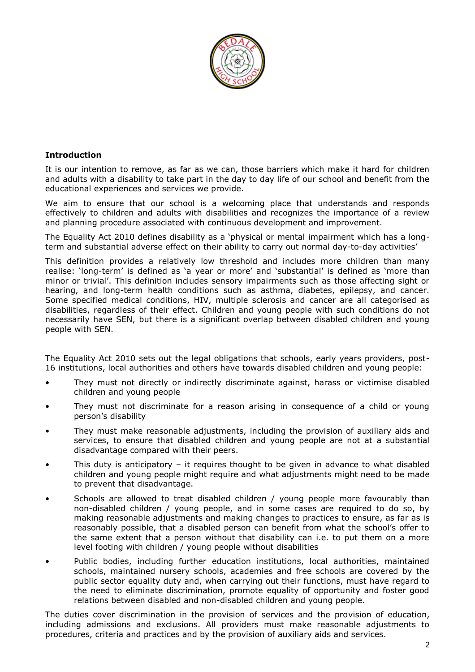

#### **Introduction**

It is our intention to remove, as far as we can, those barriers which make it hard for children and adults with a disability to take part in the day to day life of our school and benefit from the educational experiences and services we provide.

We aim to ensure that our school is a welcoming place that understands and responds effectively to children and adults with disabilities and recognizes the importance of a review and planning procedure associated with continuous development and improvement.

The Equality Act 2010 defines disability as a 'physical or mental impairment which has a longterm and substantial adverse effect on their ability to carry out normal day-to-day activities'

This definition provides a relatively low threshold and includes more children than many realise: 'long-term' is defined as 'a year or more' and 'substantial' is defined as 'more than minor or trivial'. This definition includes sensory impairments such as those affecting sight or hearing, and long-term health conditions such as asthma, diabetes, epilepsy, and cancer. Some specified medical conditions, HIV, multiple sclerosis and cancer are all categorised as disabilities, regardless of their effect. Children and young people with such conditions do not necessarily have SEN, but there is a significant overlap between disabled children and young people with SEN.

The Equality Act 2010 sets out the legal obligations that schools, early years providers, post-16 institutions, local authorities and others have towards disabled children and young people:

- They must not directly or indirectly discriminate against, harass or victimise disabled children and young people
- They must not discriminate for a reason arising in consequence of a child or young person's disability
- They must make reasonable adjustments, including the provision of auxiliary aids and services, to ensure that disabled children and young people are not at a substantial disadvantage compared with their peers.
- This duty is anticipatory it requires thought to be given in advance to what disabled children and young people might require and what adjustments might need to be made to prevent that disadvantage.
- Schools are allowed to treat disabled children / young people more favourably than non-disabled children / young people, and in some cases are required to do so, by making reasonable adjustments and making changes to practices to ensure, as far as is reasonably possible, that a disabled person can benefit from what the school's offer to the same extent that a person without that disability can i.e. to put them on a more level footing with children / young people without disabilities
- Public bodies, including further education institutions, local authorities, maintained schools, maintained nursery schools, academies and free schools are covered by the public sector equality duty and, when carrying out their functions, must have regard to the need to eliminate discrimination, promote equality of opportunity and foster good relations between disabled and non-disabled children and young people.

The duties cover discrimination in the provision of services and the provision of education, including admissions and exclusions. All providers must make reasonable adjustments to procedures, criteria and practices and by the provision of auxiliary aids and services.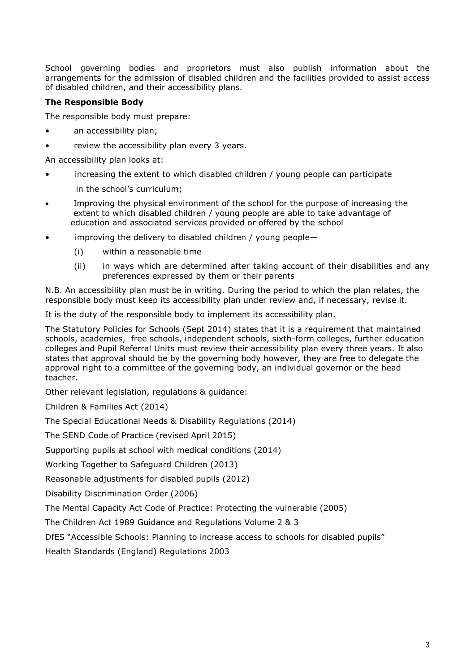School governing bodies and proprietors must also publish information about the arrangements for the admission of disabled children and the facilities provided to assist access of disabled children, and their accessibility plans.

#### **The Responsible Body**

The responsible body must prepare:

- an accessibility plan;
- review the accessibility plan every 3 years.

An accessibility plan looks at:

increasing the extent to which disabled children  $/$  young people can participate

in the school's curriculum;

- Improving the physical environment of the school for the purpose of increasing the extent to which disabled children / young people are able to take advantage of education and associated services provided or offered by the school
- improving the delivery to disabled children / young people—
	- (i) within a reasonable time
	- (ii) in ways which are determined after taking account of their disabilities and any preferences expressed by them or their parents

N.B. An accessibility plan must be in writing. During the period to which the plan relates, the responsible body must keep its accessibility plan under review and, if necessary, revise it.

It is the duty of the responsible body to implement its accessibility plan.

The Statutory Policies for Schools (Sept 2014) states that it is a requirement that maintained schools, academies, free schools, independent schools, sixth-form colleges, further education colleges and Pupil Referral Units must review their accessibility plan every three years. It also states that approval should be by the governing body however, they are free to delegate the approval right to a committee of the governing body, an individual governor or the head teacher.

Other relevant legislation, regulations & guidance:

Children & Families Act (2014)

The Special Educational Needs & Disability Regulations (2014)

The SEND Code of Practice (revised April 2015)

Supporting pupils at school with medical conditions (2014)

Working Together to Safeguard Children (2013)

Reasonable adjustments for disabled pupils (2012)

Disability Discrimination Order (2006)

The Mental Capacity Act Code of Practice: Protecting the vulnerable (2005)

The Children Act 1989 Guidance and Regulations Volume 2 & 3

DfES "Accessible Schools: Planning to increase access to schools for disabled pupils"

Health Standards (England) Regulations 2003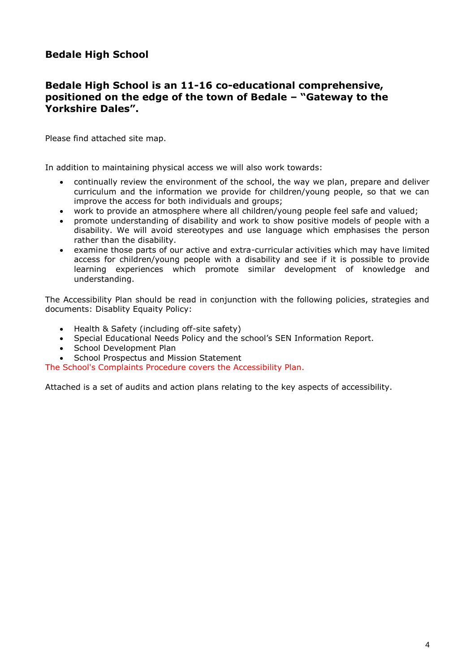## **Bedale High School**

#### **Bedale High School is an 11-16 co-educational comprehensive, positioned on the edge of the town of Bedale – "Gateway to the Yorkshire Dales".**

Please find attached site map.

In addition to maintaining physical access we will also work towards:

- continually review the environment of the school, the way we plan, prepare and deliver curriculum and the information we provide for children/young people, so that we can improve the access for both individuals and groups;
- work to provide an atmosphere where all children/young people feel safe and valued;
- promote understanding of disability and work to show positive models of people with a disability. We will avoid stereotypes and use language which emphasises the person rather than the disability.
- examine those parts of our active and extra-curricular activities which may have limited access for children/young people with a disability and see if it is possible to provide learning experiences which promote similar development of knowledge and understanding.

The Accessibility Plan should be read in conjunction with the following policies, strategies and documents: Disablity Equaity Policy:

- Health & Safety (including off-site safety)
- Special Educational Needs Policy and the school's SEN Information Report.
- School Development Plan
- School Prospectus and Mission Statement

The School's Complaints Procedure covers the Accessibility Plan.

Attached is a set of audits and action plans relating to the key aspects of accessibility.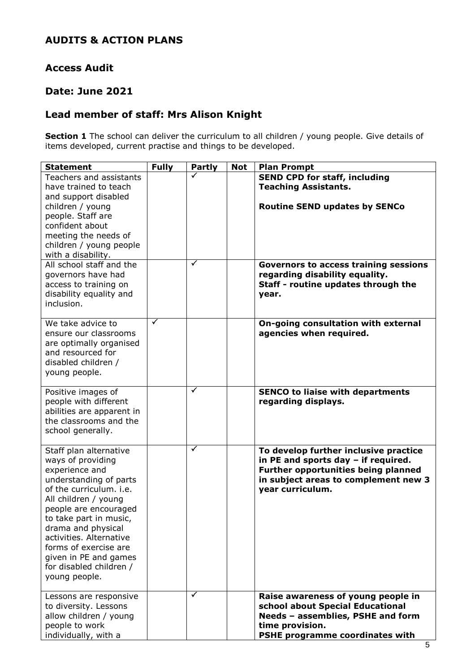## **AUDITS & ACTION PLANS**

### **Access Audit**

### **Date: June 2021**

## **Lead member of staff: Mrs Alison Knight**

**Section 1** The school can deliver the curriculum to all children / young people. Give details of items developed, current practise and things to be developed.

| <b>Statement</b>                                                                                                                                                                                                                                                                                                                             | <b>Fully</b> | <b>Partly</b>        | <b>Not</b> | <b>Plan Prompt</b>                                                                                                                                                              |
|----------------------------------------------------------------------------------------------------------------------------------------------------------------------------------------------------------------------------------------------------------------------------------------------------------------------------------------------|--------------|----------------------|------------|---------------------------------------------------------------------------------------------------------------------------------------------------------------------------------|
| Teachers and assistants<br>have trained to teach<br>and support disabled                                                                                                                                                                                                                                                                     |              |                      |            | <b>SEND CPD for staff, including</b><br><b>Teaching Assistants.</b>                                                                                                             |
| children / young<br>people. Staff are<br>confident about<br>meeting the needs of<br>children / young people<br>with a disability.                                                                                                                                                                                                            |              |                      |            | <b>Routine SEND updates by SENCo</b>                                                                                                                                            |
| All school staff and the<br>governors have had<br>access to training on<br>disability equality and<br>inclusion.                                                                                                                                                                                                                             |              | $\blacktriangledown$ |            | <b>Governors to access training sessions</b><br>regarding disability equality.<br>Staff - routine updates through the<br>year.                                                  |
| We take advice to<br>ensure our classrooms<br>are optimally organised<br>and resourced for<br>disabled children /<br>young people.                                                                                                                                                                                                           | ✓            |                      |            | On-going consultation with external<br>agencies when required.                                                                                                                  |
| Positive images of<br>people with different<br>abilities are apparent in<br>the classrooms and the<br>school generally.                                                                                                                                                                                                                      |              | $\checkmark$         |            | <b>SENCO to liaise with departments</b><br>regarding displays.                                                                                                                  |
| Staff plan alternative<br>ways of providing<br>experience and<br>understanding of parts<br>of the curriculum, i.e.<br>All children / young<br>people are encouraged<br>to take part in music,<br>drama and physical<br>activities. Alternative<br>forms of exercise are<br>given in PE and games<br>for disabled children /<br>young people. |              | ✓                    |            | To develop further inclusive practice<br>in PE and sports day - if required.<br>Further opportunities being planned<br>in subject areas to complement new 3<br>year curriculum. |
| Lessons are responsive<br>to diversity. Lessons<br>allow children / young<br>people to work<br>individually, with a                                                                                                                                                                                                                          |              | ✓                    |            | Raise awareness of young people in<br>school about Special Educational<br>Needs - assemblies, PSHE and form<br>time provision.<br>PSHE programme coordinates with               |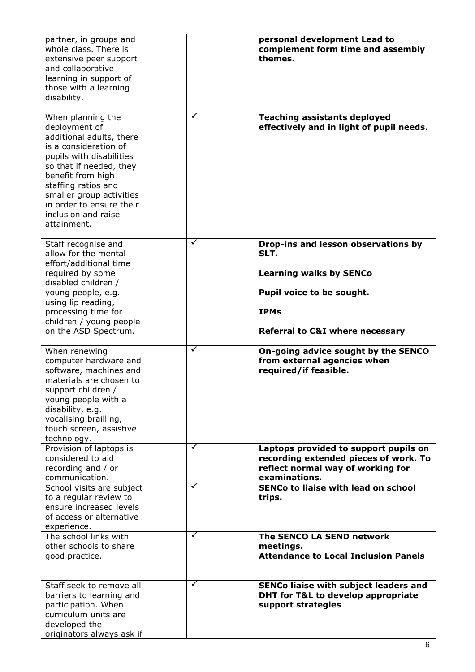| partner, in groups and<br>whole class. There is<br>extensive peer support<br>and collaborative<br>learning in support of<br>those with a learning<br>disability.                                                                                                                         |        | personal development Lead to<br>complement form time and assembly<br>themes.                                                                                                                 |
|------------------------------------------------------------------------------------------------------------------------------------------------------------------------------------------------------------------------------------------------------------------------------------------|--------|----------------------------------------------------------------------------------------------------------------------------------------------------------------------------------------------|
| When planning the<br>deployment of<br>additional adults, there<br>is a consideration of<br>pupils with disabilities<br>so that if needed, they<br>benefit from high<br>staffing ratios and<br>smaller group activities<br>in order to ensure their<br>inclusion and raise<br>attainment. | ✓      | <b>Teaching assistants deployed</b><br>effectively and in light of pupil needs.                                                                                                              |
| Staff recognise and<br>allow for the mental<br>effort/additional time<br>required by some<br>disabled children /<br>young people, e.g.<br>using lip reading,<br>processing time for<br>children / young people<br>on the ASD Spectrum.                                                   | ✓      | Drop-ins and lesson observations by<br>SLT.<br><b>Learning walks by SENCo</b><br>Pupil voice to be sought.<br><b>IPMs</b><br><b>Referral to C&amp;I where necessary</b>                      |
| When renewing<br>computer hardware and<br>software, machines and<br>materials are chosen to<br>support children /<br>young people with a<br>disability, e.g.<br>vocalising brailling,<br>touch screen, assistive<br>technology.                                                          | ✓      | On-going advice sought by the SENCO<br>from external agencies when<br>required/if feasible.                                                                                                  |
| Provision of laptops is<br>considered to aid<br>recording and / or<br>communication.<br>School visits are subject<br>to a regular review to<br>ensure increased levels                                                                                                                   | ✓<br>✓ | Laptops provided to support pupils on<br>recording extended pieces of work. To<br>reflect normal way of working for<br>examinations.<br><b>SENCo to liaise with lead on school</b><br>trips. |
| of access or alternative<br>experience.<br>The school links with<br>other schools to share<br>good practice.                                                                                                                                                                             | ✓      | The SENCO LA SEND network<br>meetings.<br><b>Attendance to Local Inclusion Panels</b>                                                                                                        |
| Staff seek to remove all<br>barriers to learning and<br>participation. When<br>curriculum units are<br>developed the<br>originators always ask if                                                                                                                                        | ✓      | SENCo liaise with subject leaders and<br>DHT for T&L to develop appropriate<br>support strategies                                                                                            |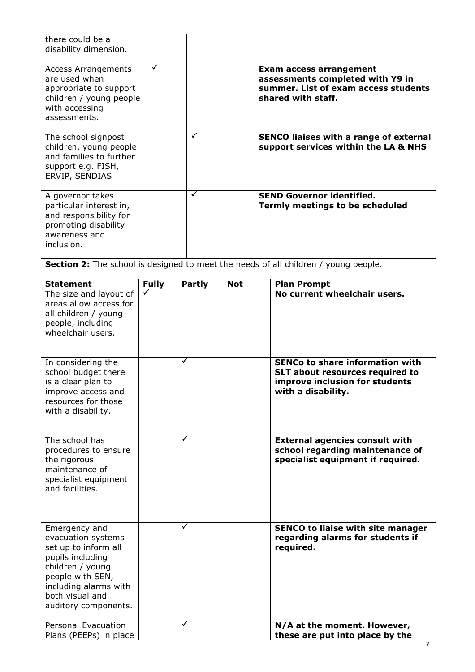| there could be a<br>disability dimension.                                                                                          |   |   |                                                                                                                                  |
|------------------------------------------------------------------------------------------------------------------------------------|---|---|----------------------------------------------------------------------------------------------------------------------------------|
| <b>Access Arrangements</b><br>are used when<br>appropriate to support<br>children / young people<br>with accessing<br>assessments. | ✓ |   | <b>Exam access arrangement</b><br>assessments completed with Y9 in<br>summer. List of exam access students<br>shared with staff. |
| The school signpost<br>children, young people<br>and families to further<br>support e.g. FISH,<br>ERVIP, SENDIAS                   |   | ✓ | <b>SENCO liaises with a range of external</b><br>support services within the LA & NHS                                            |
| A governor takes<br>particular interest in,<br>and responsibility for<br>promoting disability<br>awareness and<br>inclusion.       |   | ✓ | <b>SEND Governor identified.</b><br>Termly meetings to be scheduled                                                              |

**Section 2:** The school is designed to meet the needs of all children / young people.

| <b>Statement</b>                                                                                                                                                                            | <b>Fully</b> | <b>Partly</b> | <b>Not</b> | <b>Plan Prompt</b>                                                                                                                |
|---------------------------------------------------------------------------------------------------------------------------------------------------------------------------------------------|--------------|---------------|------------|-----------------------------------------------------------------------------------------------------------------------------------|
| The size and layout of<br>areas allow access for<br>all children / young<br>people, including<br>wheelchair users.                                                                          |              |               |            | No current wheelchair users.                                                                                                      |
| In considering the<br>school budget there<br>is a clear plan to<br>improve access and<br>resources for those<br>with a disability.                                                          |              | ✓             |            | <b>SENCo to share information with</b><br>SLT about resources required to<br>improve inclusion for students<br>with a disability. |
| The school has<br>procedures to ensure<br>the rigorous<br>maintenance of<br>specialist equipment<br>and facilities.                                                                         |              | ✓             |            | <b>External agencies consult with</b><br>school regarding maintenance of<br>specialist equipment if required.                     |
| Emergency and<br>evacuation systems<br>set up to inform all<br>pupils including<br>children / young<br>people with SEN,<br>including alarms with<br>both visual and<br>auditory components. |              | ✓             |            | <b>SENCO to liaise with site manager</b><br>regarding alarms for students if<br>required.                                         |
| <b>Personal Evacuation</b><br>Plans (PEEPs) in place                                                                                                                                        |              | ✓             |            | N/A at the moment. However,<br>these are put into place by the                                                                    |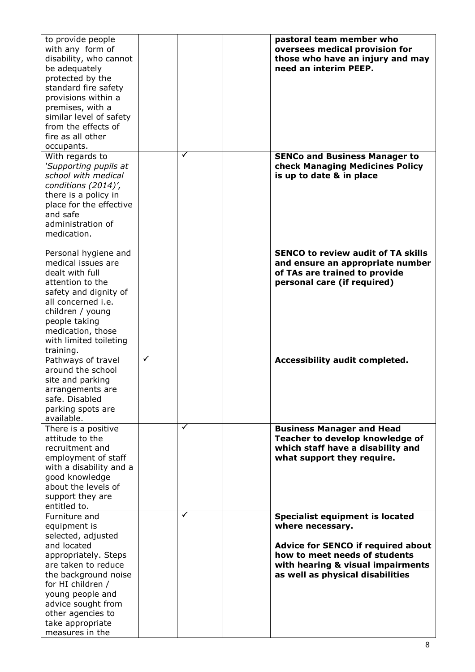| to provide people<br>with any form of<br>disability, who cannot<br>be adequately<br>protected by the<br>standard fire safety<br>provisions within a<br>premises, with a<br>similar level of safety<br>from the effects of<br>fire as all other<br>occupants.         |              |   | pastoral team member who<br>oversees medical provision for<br>those who have an injury and may<br>need an interim PEEP.                                                                                           |
|----------------------------------------------------------------------------------------------------------------------------------------------------------------------------------------------------------------------------------------------------------------------|--------------|---|-------------------------------------------------------------------------------------------------------------------------------------------------------------------------------------------------------------------|
| With regards to<br>'Supporting pupils at<br>school with medical<br>conditions (2014)',<br>there is a policy in<br>place for the effective<br>and safe<br>administration of<br>medication.                                                                            |              | ✓ | <b>SENCo and Business Manager to</b><br>check Managing Medicines Policy<br>is up to date & in place                                                                                                               |
| Personal hygiene and<br>medical issues are<br>dealt with full<br>attention to the<br>safety and dignity of<br>all concerned i.e.<br>children / young<br>people taking<br>medication, those<br>with limited toileting<br>training.                                    |              |   | <b>SENCO to review audit of TA skills</b><br>and ensure an appropriate number<br>of TAs are trained to provide<br>personal care (if required)                                                                     |
| Pathways of travel<br>around the school<br>site and parking<br>arrangements are<br>safe. Disabled<br>parking spots are<br>available.                                                                                                                                 | $\checkmark$ |   | Accessibility audit completed.                                                                                                                                                                                    |
| There is a positive<br>attitude to the<br>recruitment and<br>employment of staff<br>with a disability and a<br>good knowledge<br>about the levels of<br>support they are<br>entitled to.                                                                             |              | ✓ | <b>Business Manager and Head</b><br>Teacher to develop knowledge of<br>which staff have a disability and<br>what support they require.                                                                            |
| Furniture and<br>equipment is<br>selected, adjusted<br>and located<br>appropriately. Steps<br>are taken to reduce<br>the background noise<br>for HI children /<br>young people and<br>advice sought from<br>other agencies to<br>take appropriate<br>measures in the |              | ✓ | <b>Specialist equipment is located</b><br>where necessary.<br><b>Advice for SENCO if required about</b><br>how to meet needs of students<br>with hearing & visual impairments<br>as well as physical disabilities |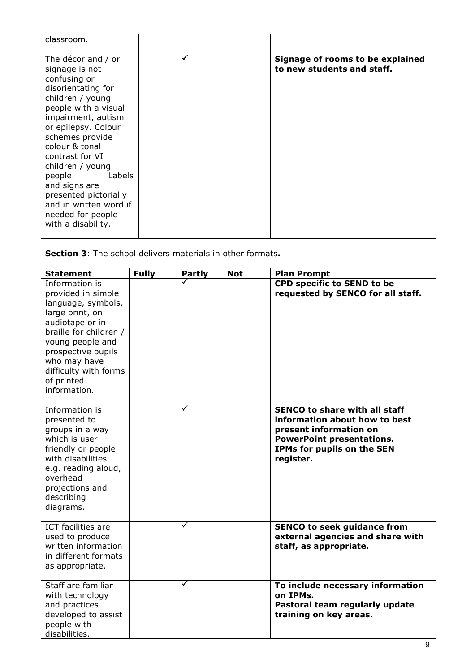| classroom.                                                                                                                                                                                                                                                                                                                                                                          |   |                                                                |
|-------------------------------------------------------------------------------------------------------------------------------------------------------------------------------------------------------------------------------------------------------------------------------------------------------------------------------------------------------------------------------------|---|----------------------------------------------------------------|
| The décor and / or<br>signage is not<br>confusing or<br>disorientating for<br>children / young<br>people with a visual<br>impairment, autism<br>or epilepsy. Colour<br>schemes provide<br>colour & tonal<br>contrast for VI<br>children / young<br>people.<br>Labels<br>and signs are<br>presented pictorially<br>and in written word if<br>needed for people<br>with a disability. | ✓ | Signage of rooms to be explained<br>to new students and staff. |

**Section 3**: The school delivers materials in other formats**.**

| <b>Statement</b>                                                                                                                                                                                                                            | <b>Fully</b> | <b>Partly</b>        | <b>Not</b> | <b>Plan Prompt</b>                                                                                                                                                             |
|---------------------------------------------------------------------------------------------------------------------------------------------------------------------------------------------------------------------------------------------|--------------|----------------------|------------|--------------------------------------------------------------------------------------------------------------------------------------------------------------------------------|
| Information is<br>provided in simple<br>language, symbols,<br>large print, on<br>audiotape or in<br>braille for children /<br>young people and<br>prospective pupils<br>who may have<br>difficulty with forms<br>of printed<br>information. |              |                      |            | <b>CPD specific to SEND to be</b><br>requested by SENCO for all staff.                                                                                                         |
| Information is<br>presented to<br>groups in a way<br>which is user<br>friendly or people<br>with disabilities<br>e.g. reading aloud,<br>overhead<br>projections and<br>describing<br>diagrams.                                              |              | $\blacktriangledown$ |            | <b>SENCO to share with all staff</b><br>information about how to best<br>present information on<br><b>PowerPoint presentations.</b><br>IPMs for pupils on the SEN<br>register. |
| <b>ICT</b> facilities are<br>used to produce<br>written information<br>in different formats<br>as appropriate.                                                                                                                              |              | $\blacktriangledown$ |            | <b>SENCO to seek guidance from</b><br>external agencies and share with<br>staff, as appropriate.                                                                               |
| Staff are familiar<br>with technology<br>and practices<br>developed to assist<br>people with<br>disabilities.                                                                                                                               |              | ✓                    |            | To include necessary information<br>on IPMs.<br>Pastoral team regularly update<br>training on key areas.                                                                       |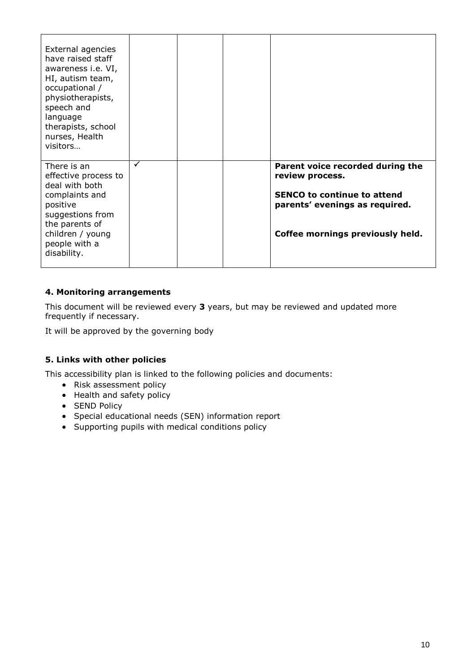| External agencies<br>have raised staff<br>awareness i.e. VI,<br>HI, autism team,<br>occupational /<br>physiotherapists,<br>speech and<br>language<br>therapists, school<br>nurses, Health<br>visitors |   |  |                                                                                                                                                                 |
|-------------------------------------------------------------------------------------------------------------------------------------------------------------------------------------------------------|---|--|-----------------------------------------------------------------------------------------------------------------------------------------------------------------|
| There is an<br>effective process to<br>deal with both<br>complaints and<br>positive<br>suggestions from<br>the parents of<br>children / young<br>people with a<br>disability.                         | ✓ |  | Parent voice recorded during the<br>review process.<br><b>SENCO to continue to attend</b><br>parents' evenings as required.<br>Coffee mornings previously held. |

#### **4. Monitoring arrangements**

This document will be reviewed every **3** years, but may be reviewed and updated more frequently if necessary.

It will be approved by the governing body

#### **5. Links with other policies**

This accessibility plan is linked to the following policies and documents:

- Risk assessment policy
- Health and safety policy
- SEND Policy
- Special educational needs (SEN) information report
- Supporting pupils with medical conditions policy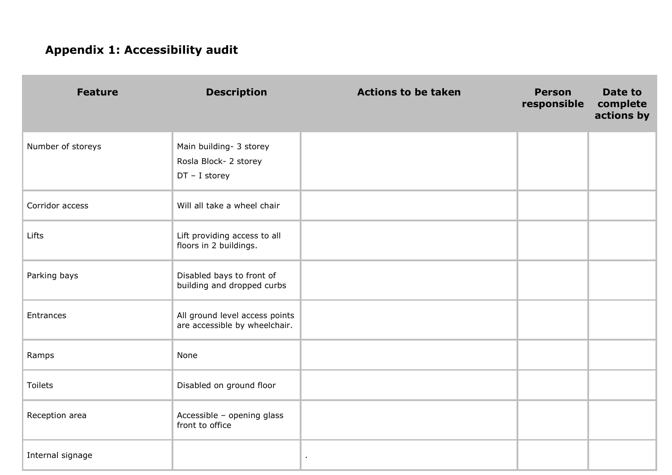# **Appendix 1: Accessibility audit**

| <b>Feature</b>    | <b>Description</b>                                                  | <b>Actions to be taken</b> | <b>Person</b><br>responsible | Date to<br>complete<br>actions by |
|-------------------|---------------------------------------------------------------------|----------------------------|------------------------------|-----------------------------------|
| Number of storeys | Main building- 3 storey<br>Rosla Block- 2 storey<br>$DT - I$ storey |                            |                              |                                   |
| Corridor access   | Will all take a wheel chair                                         |                            |                              |                                   |
| Lifts             | Lift providing access to all<br>floors in 2 buildings.              |                            |                              |                                   |
| Parking bays      | Disabled bays to front of<br>building and dropped curbs             |                            |                              |                                   |
| Entrances         | All ground level access points<br>are accessible by wheelchair.     |                            |                              |                                   |
| Ramps             | None                                                                |                            |                              |                                   |
| Toilets           | Disabled on ground floor                                            |                            |                              |                                   |
| Reception area    | Accessible - opening glass<br>front to office                       |                            |                              |                                   |
| Internal signage  |                                                                     | $\bullet$                  |                              |                                   |